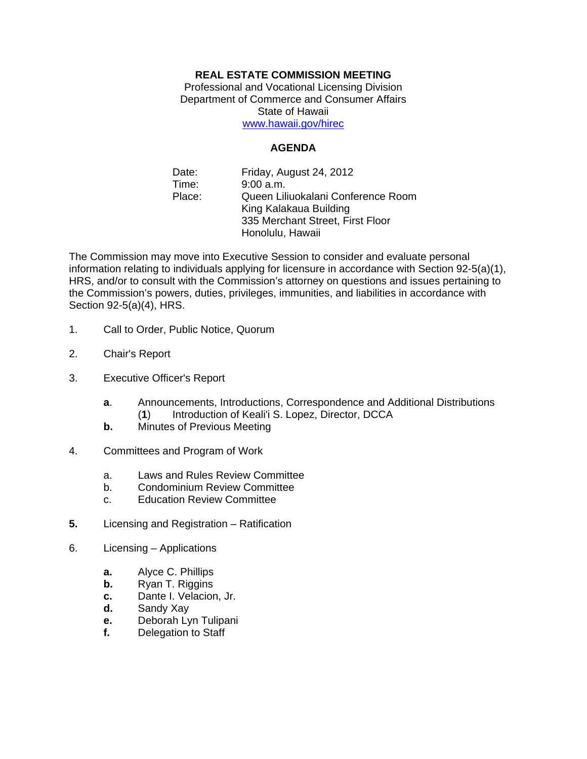## **REAL ESTATE COMMISSION MEETING**

Professional and Vocational Licensing Division Department of Commerce and Consumer Affairs State of Hawaii www.hawaii.gov/hirec

## **AGENDA**

Date: Friday, August 24, 2012 Time: 9:00 a.m. Place: Queen Liliuokalani Conference Room King Kalakaua Building 335 Merchant Street, First Floor Honolulu, Hawaii

The Commission may move into Executive Session to consider and evaluate personal information relating to individuals applying for licensure in accordance with Section 92-5(a)(1), HRS, and/or to consult with the Commission's attorney on questions and issues pertaining to the Commission's powers, duties, privileges, immunities, and liabilities in accordance with Section 92-5(a)(4), HRS.

- 1. Call to Order, Public Notice, Quorum
- 2. Chair's Report
- 3. Executive Officer's Report
	- **a**. Announcements, Introductions, Correspondence and Additional Distributions (**1**) Introduction of Keali'i S. Lopez, Director, DCCA
	- **b.** Minutes of Previous Meeting
- 4. Committees and Program of Work
	- a. Laws and Rules Review Committee
	- b. Condominium Review Committee
	- c. Education Review Committee
- **5.** Licensing and Registration Ratification
- 6. Licensing Applications
	- **a.** Alyce C. Phillips
	- **b.** Ryan T. Riggins
	- **c.** Dante I. Velacion, Jr.
	- **d.** Sandy Xay
	- **e.** Deborah Lyn Tulipani
	- **f.** Delegation to Staff